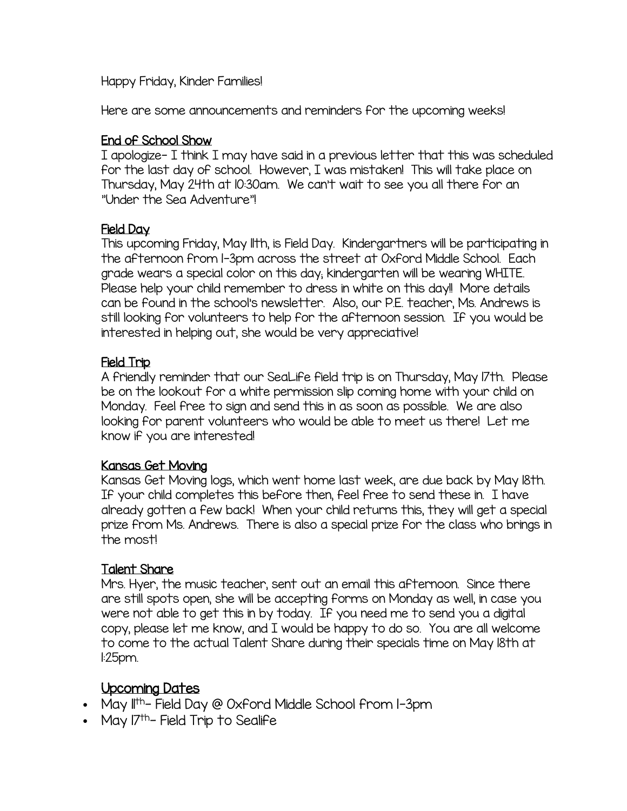Happy Friday, Kinder Families!

Here are some announcements and reminders for the upcoming weeks!

### End of School Show

I apologize- I think I may have said in a previous letter that this was scheduled for the last day of school. However, I was mistaken! This will take place on Thursday, May 24th at 10:30am. We can't wait to see you all there for an "Under the Sea Adventure"!

#### Field Day

This upcoming Friday, May 11th, is Field Day. Kindergartners will be participating in the afternoon from 1-3pm across the street at Oxford Middle School. Each grade wears a special color on this day; kindergarten will be wearing WHITE. Please help your child remember to dress in white on this day!! More details can be found in the school's newsletter. Also, our P.E. teacher, Ms. Andrews is still looking for volunteers to help for the afternoon session. If you would be interested in helping out, she would be very appreciative!

## Field Trip

A friendly reminder that our SeaLife field trip is on Thursday, May 17th. Please be on the lookout for a white permission slip coming home with your child on Monday. Feel free to sign and send this in as soon as possible. We are also looking for parent volunteers who would be able to meet us there! Let me know if you are interested!

#### Kansas Get Moving

Kansas Get Moving logs, which went home last week, are due back by May 18th. If your child completes this before then, feel free to send these in. I have already gotten a few back! When your child returns this, they will get a special prize from Ms. Andrews. There is also a special prize for the class who brings in the most!

## Talent Share

Mrs. Hyer, the music teacher, sent out an email this afternoon. Since there are still spots open, she will be accepting forms on Monday as well, in case you were not able to get this in by today. If you need me to send you a digital copy, please let me know, and I would be happy to do so. You are all welcome to come to the actual Talent Share during their specials time on May 18th at 1:25pm.

# Upcoming Dates

- $\bullet$  May II<sup>th</sup>- Field Day @ Oxford Middle School from I-3pm
- May  $7^{th}$  Field Trip to Sealife